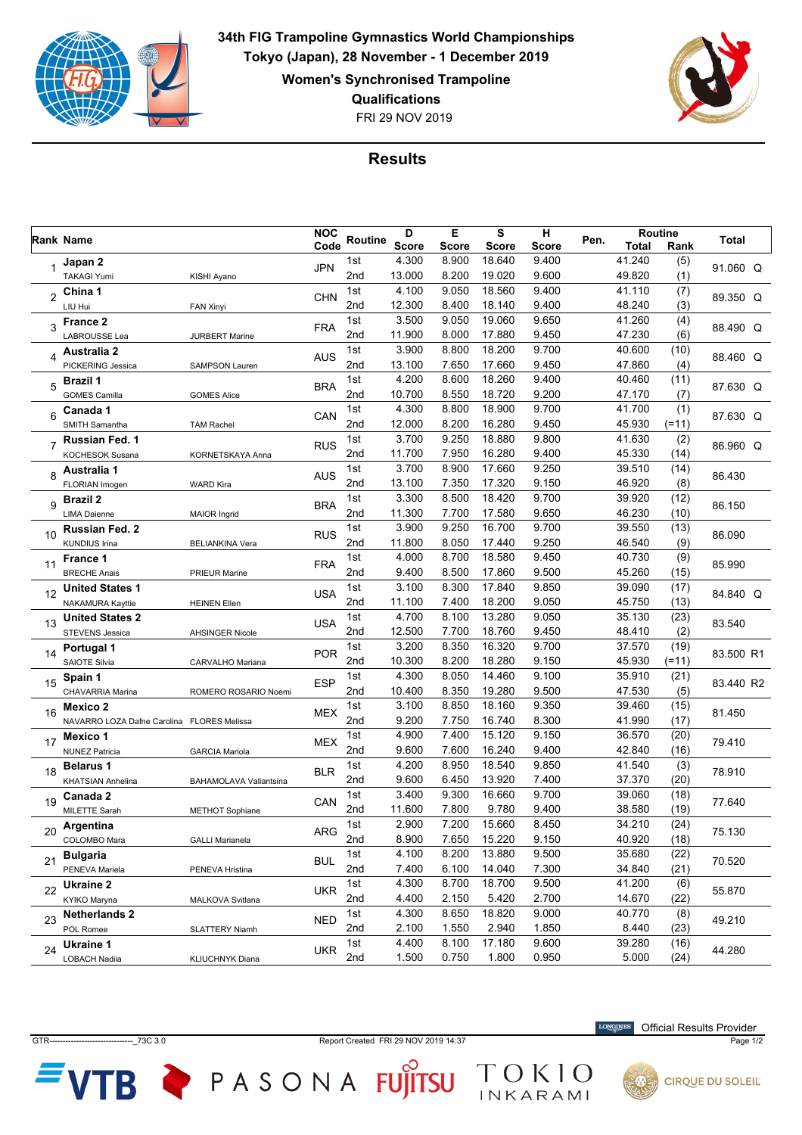

**34th FIG Trampoline Gymnastics World Championships Tokyo (Japan), 28 November - 1 December 2019 Women's Synchronised Trampoline Qualifications**

FRI 29 NOV 2019



## **Results**

|    | Rank Name                                  |                        |            |                 | Е<br>D       |       | S            | н     |      | Routine      |         |           |  |
|----|--------------------------------------------|------------------------|------------|-----------------|--------------|-------|--------------|-------|------|--------------|---------|-----------|--|
|    |                                            |                        |            | Routine<br>Code | <b>Score</b> | Score | <b>Score</b> | Score | Pen. | <b>Total</b> | Rank    | Total     |  |
|    | Japan 2                                    |                        | <b>JPN</b> | 1st             | 4.300        | 8.900 | 18.640       | 9.400 |      | 41.240       | (5)     | 91.060 Q  |  |
|    | <b>TAKAGI Yumi</b>                         | KISHI Ayano            |            | 2nd             | 13.000       | 8.200 | 19.020       | 9.600 |      | 49.820       | (1)     |           |  |
| 2  | China 1                                    |                        | CHN        | 1st             | 4.100        | 9.050 | 18.560       | 9.400 |      | 41.110       | (7)     | 89.350 Q  |  |
|    | LIU Hui                                    | FAN Xinyi              |            | 2 <sub>nd</sub> | 12.300       | 8.400 | 18.140       | 9.400 |      | 48.240       | (3)     |           |  |
| 3  | <b>France 2</b>                            |                        | <b>FRA</b> | 1st             | 3.500        | 9.050 | 19.060       | 9.650 |      | 41.260       | (4)     | 88.490 Q  |  |
|    | LABROUSSE Lea                              | <b>JURBERT Marine</b>  |            | 2nd             | 11.900       | 8.000 | 17.880       | 9.450 |      | 47.230       | (6)     |           |  |
| 4  | <b>Australia 2</b>                         |                        | <b>AUS</b> | 1st             | 3.900        | 8.800 | 18.200       | 9.700 |      | 40.600       | (10)    | 88.460 Q  |  |
|    | PICKERING Jessica                          | <b>SAMPSON Lauren</b>  |            | 2nd             | 13.100       | 7.650 | 17.660       | 9.450 |      | 47.860       | (4)     |           |  |
| 5  | Brazil 1                                   |                        | <b>BRA</b> | 1st             | 4.200        | 8.600 | 18.260       | 9.400 |      | 40.460       | (11)    | 87.630 Q  |  |
|    | <b>GOMES Camilla</b>                       | <b>GOMES Alice</b>     |            | 2nd             | 10.700       | 8.550 | 18.720       | 9.200 |      | 47.170       | (7)     |           |  |
| 6  | Canada 1                                   |                        | CAN        | 1st             | 4.300        | 8.800 | 18.900       | 9.700 |      | 41.700       | (1)     | 87.630 Q  |  |
|    | SMITH Samantha                             | <b>TAM Rachel</b>      |            | 2nd             | 12.000       | 8.200 | 16.280       | 9.450 |      | 45.930       | $(=11)$ |           |  |
|    | Russian Fed. 1                             |                        | <b>RUS</b> | 1st             | 3.700        | 9.250 | 18.880       | 9.800 |      | 41.630       | (2)     | 86.960 Q  |  |
|    | KOCHESOK Susana                            | KORNETSKAYA Anna       |            | 2nd             | 11.700       | 7.950 | 16.280       | 9.400 |      | 45.330       | (14)    |           |  |
| 8  | Australia 1                                |                        | <b>AUS</b> | 1st             | 3.700        | 8.900 | 17.660       | 9.250 |      | 39.510       | (14)    |           |  |
|    | FLORIAN Imogen                             | <b>WARD Kira</b>       |            | 2 <sub>nd</sub> | 13.100       | 7.350 | 17.320       | 9.150 |      | 46.920       | (8)     | 86.430    |  |
| 9  | Brazil 2                                   |                        | <b>BRA</b> | 1st             | 3.300        | 8.500 | 18.420       | 9.700 |      | 39.920       | (12)    | 86.150    |  |
|    | <b>LIMA Daienne</b>                        | <b>MAIOR Ingrid</b>    |            | 2nd             | 11.300       | 7.700 | 17.580       | 9.650 |      | 46.230       | (10)    |           |  |
|    | Russian Fed. 2                             |                        |            | 1st             | 3.900        | 9.250 | 16.700       | 9.700 |      | 39.550       | (13)    |           |  |
| 10 | <b>KUNDIUS Irina</b>                       | <b>BELIANKINA Vera</b> | <b>RUS</b> | 2nd             | 11.800       | 8.050 | 17.440       | 9.250 |      | 46.540       | (9)     | 86.090    |  |
|    | France 1                                   |                        | <b>FRA</b> | 1st             | 4.000        | 8.700 | 18.580       | 9.450 |      | 40.730       | (9)     | 85.990    |  |
| 11 | <b>BRECHE Anais</b>                        | <b>PRIEUR Marine</b>   |            | 2nd             | 9.400        | 8.500 | 17.860       | 9.500 |      | 45.260       | (15)    |           |  |
|    | <b>United States 1</b>                     |                        |            | 1st             | 3.100        | 8.300 | 17.840       | 9.850 |      | 39.090       | (17)    |           |  |
| 12 | NAKAMURA Kayttie                           | <b>HEINEN Ellen</b>    | <b>USA</b> | 2nd             | 11.100       | 7.400 | 18.200       | 9.050 |      | 45.750       | (13)    | 84.840 Q  |  |
|    | <b>United States 2</b>                     |                        |            | 1st             | 4.700        | 8.100 | 13.280       | 9.050 |      | 35.130       | (23)    |           |  |
| 13 | <b>STEVENS Jessica</b>                     | <b>AHSINGER Nicole</b> | <b>USA</b> | 2nd             | 12.500       | 7.700 | 18.760       | 9.450 |      | 48.410       | (2)     | 83.540    |  |
| 14 | <b>Portugal 1</b>                          |                        | <b>POR</b> | 1st             | 3.200        | 8.350 | 16.320       | 9.700 |      | 37.570       | (19)    |           |  |
|    | SAIOTE Silvia                              | CARVALHO Mariana       |            | 2 <sub>nd</sub> | 10.300       | 8.200 | 18.280       | 9.150 |      | 45.930       | $(=11)$ | 83.500 R1 |  |
| 15 | Spain 1                                    |                        | <b>ESP</b> | 1st             | 4.300        | 8.050 | 14.460       | 9.100 |      | 35.910       | (21)    |           |  |
|    | CHAVARRIA Marina                           | ROMERO ROSARIO Noemi   |            | 2 <sub>nd</sub> | 10.400       | 8.350 | 19.280       | 9.500 |      | 47.530       | (5)     | 83.440 R2 |  |
|    | Mexico 2                                   |                        |            | 1st             | 3.100        | 8.850 | 18.160       | 9.350 |      | 39.460       | (15)    |           |  |
| 16 | NAVARRO LOZA Dafne Carolina FLORES Melissa |                        | <b>MEX</b> | 2 <sub>nd</sub> | 9.200        | 7.750 | 16.740       | 8.300 |      | 41.990       | (17)    | 81.450    |  |
|    | Mexico 1                                   |                        |            | 1st             | 4.900        | 7.400 | 15.120       | 9.150 |      | 36.570       | (20)    |           |  |
| 17 | <b>NUNEZ Patricia</b>                      | <b>GARCIA Mariola</b>  | <b>MEX</b> | 2nd             | 9.600        | 7.600 | 16.240       | 9.400 |      | 42.840       | (16)    | 79.410    |  |
| 18 | <b>Belarus 1</b>                           |                        |            | 1st             | 4.200        | 8.950 | 18.540       | 9.850 |      | 41.540       | (3)     |           |  |
|    | KHATSIAN Anhelina                          | BAHAMOLAVA Valiantsina | <b>BLR</b> | 2nd             | 9.600        | 6.450 | 13.920       | 7.400 |      | 37.370       | (20)    | 78.910    |  |
|    | Canada 2                                   |                        |            | 1st             | 3.400        | 9.300 | 16.660       | 9.700 |      | 39.060       | (18)    |           |  |
| 19 | MILETTE Sarah                              | <b>METHOT Sophiane</b> | CAN        | 2nd             | 11.600       | 7.800 | 9.780        | 9.400 |      | 38.580       | (19)    | 77.640    |  |
| 20 | Argentina                                  |                        | ARG        | 1st             | 2.900        | 7.200 | 15.660       | 8.450 |      | 34.210       | (24)    | 75.130    |  |
|    | COLOMBO Mara                               | <b>GALLI Marianela</b> |            | 2nd             | 8.900        | 7.650 | 15.220       | 9.150 |      | 40.920       | (18)    |           |  |
| 21 | <b>Bulgaria</b>                            |                        | <b>BUL</b> | 1st             | 4.100        | 8.200 | 13.880       | 9.500 |      | 35.680       | (22)    | 70.520    |  |
|    | PENEVA Mariela                             | PENEVA Hristina        |            | 2nd             | 7.400        | 6.100 | 14.040       | 7.300 |      | 34.840       | (21)    |           |  |
| 22 | Ukraine 2                                  |                        | <b>UKR</b> | 1st             | 4.300        | 8.700 | 18.700       | 9.500 |      | 41.200       | (6)     | 55.870    |  |
|    | KYIKO Maryna                               | MALKOVA Svitlana       |            | 2nd             | 4.400        | 2.150 | 5.420        | 2.700 |      | 14.670       | (22)    |           |  |
| 23 | <b>Netherlands 2</b>                       |                        |            | 1st             | 4.300        | 8.650 | 18.820       | 9.000 |      | 40.770       | (8)     |           |  |
|    | POL Romee                                  | <b>SLATTERY Niamh</b>  | <b>NED</b> | 2nd             | 2.100        | 1.550 | 2.940        | 1.850 |      | 8.440        | (23)    | 49.210    |  |
| 24 | Ukraine 1                                  |                        |            | 1st             | 4.400        | 8.100 | 17.180       | 9.600 |      | 39.280       | (16)    |           |  |
|    | LOBACH Nadiia                              | KLIUCHNYK Diana        | <b>UKR</b> | 2nd             | 1.500        | 0.750 | 1.800        | 0.950 |      | 5.000        | (24)    | 44.280    |  |

GTR-------------------------------\_73C 3.0 Report Created FRI 29 NOV 2019 14:37 Page 1/2

TOKIO

**VTB** PASONA FUJITSU

**LONGINES** Official Results Provider